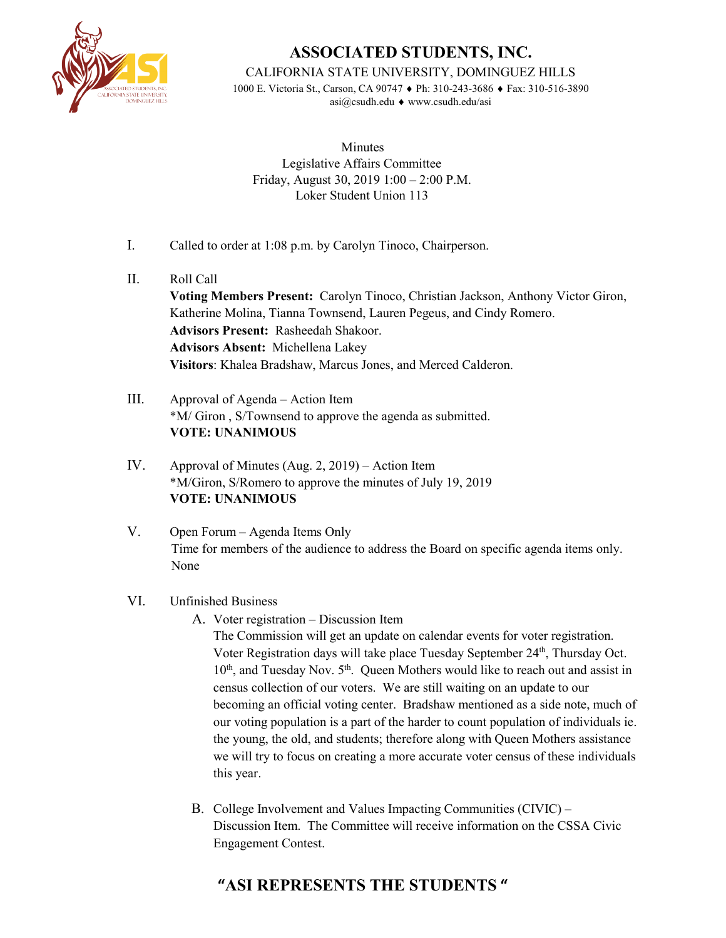

### **ASSOCIATED STUDENTS, INC.**

CALIFORNIA STATE UNIVERSITY, DOMINGUEZ HILLS

1000 E. Victoria St., Carson, CA 90747 ♦ Ph: 310-243-3686 ♦ Fax: 310-516-3890 asi@csudh.edu ♦ www.csudh.edu/asi

**Minutes** Legislative Affairs Committee Friday, August 30, 2019 1:00 – 2:00 P.M. Loker Student Union 113

- I. Called to order at 1:08 p.m. by Carolyn Tinoco, Chairperson.
- II. Roll Call **Voting Members Present:** Carolyn Tinoco, Christian Jackson, Anthony Victor Giron, Katherine Molina, Tianna Townsend, Lauren Pegeus, and Cindy Romero. **Advisors Present:** Rasheedah Shakoor. **Advisors Absent:** Michellena Lakey **Visitors**: Khalea Bradshaw, Marcus Jones, and Merced Calderon.
- III. Approval of Agenda Action Item \*M/ Giron , S/Townsend to approve the agenda as submitted. **VOTE: UNANIMOUS**
- IV. Approval of Minutes (Aug. 2, 2019) Action Item \*M/Giron, S/Romero to approve the minutes of July 19, 2019 **VOTE: UNANIMOUS**
- V. Open Forum Agenda Items Only Time for members of the audience to address the Board on specific agenda items only. None

#### VI. Unfinished Business

A. Voter registration – Discussion Item

The Commission will get an update on calendar events for voter registration. Voter Registration days will take place Tuesday September 24<sup>th</sup>, Thursday Oct.  $10<sup>th</sup>$ , and Tuesday Nov.  $5<sup>th</sup>$ . Queen Mothers would like to reach out and assist in census collection of our voters. We are still waiting on an update to our becoming an official voting center. Bradshaw mentioned as a side note, much of our voting population is a part of the harder to count population of individuals ie. the young, the old, and students; therefore along with Queen Mothers assistance we will try to focus on creating a more accurate voter census of these individuals this year.

B. College Involvement and Values Impacting Communities (CIVIC) – Discussion Item. The Committee will receive information on the CSSA Civic Engagement Contest.

## **"ASI REPRESENTS THE STUDENTS "**